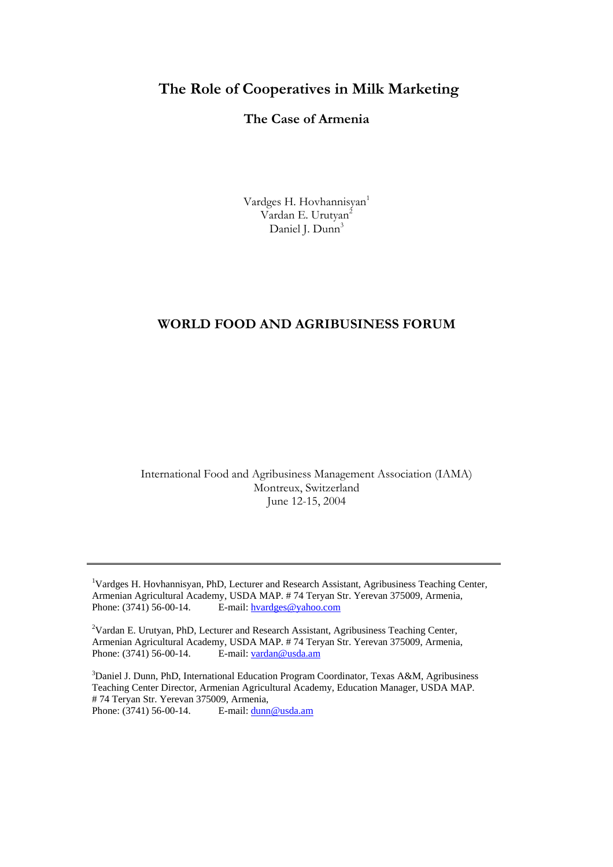# **The Role of Cooperatives in Milk Marketing**

## **The Case of Armenia**

Vardges H. Hovhannisyan<sup>1</sup> Vardan E. Urutyan<sup>2</sup> Daniel J. Dunn<sup>3</sup>

## **WORLD FOOD AND AGRIBUSINESS FORUM**

International Food and Agribusiness Management Association (IAMA) Montreux, Switzerland June 12-15, 2004

<sup>&</sup>lt;sup>1</sup>Vardges H. Hovhannisyan, PhD, Lecturer and Research Assistant, Agribusiness Teaching Center, Armenian Agricultural Academy, USDA MAP. # 74 Teryan Str. Yerevan 375009, Armenia, Phone:  $(3741)$  56-00-14. E-mail: hvardges@yahoo.com

 $2$ Vardan E. Urutyan, PhD, Lecturer and Research Assistant, Agribusiness Teaching Center, Armenian Agricultural Academy, USDA MAP. # 74 Teryan Str. Yerevan 375009, Armenia, Phone: (3741) 56-00-14. E-mail: vardan@usda.am

<sup>&</sup>lt;sup>3</sup>Daniel J. Dunn, PhD, International Education Program Coordinator, Texas A&M, Agribusiness Teaching Center Director, Armenian Agricultural Academy, Education Manager, USDA MAP. # 74 Teryan Str. Yerevan 375009, Armenia, Phone: (3741) 56-00-14. E-mail: dunn@usda.am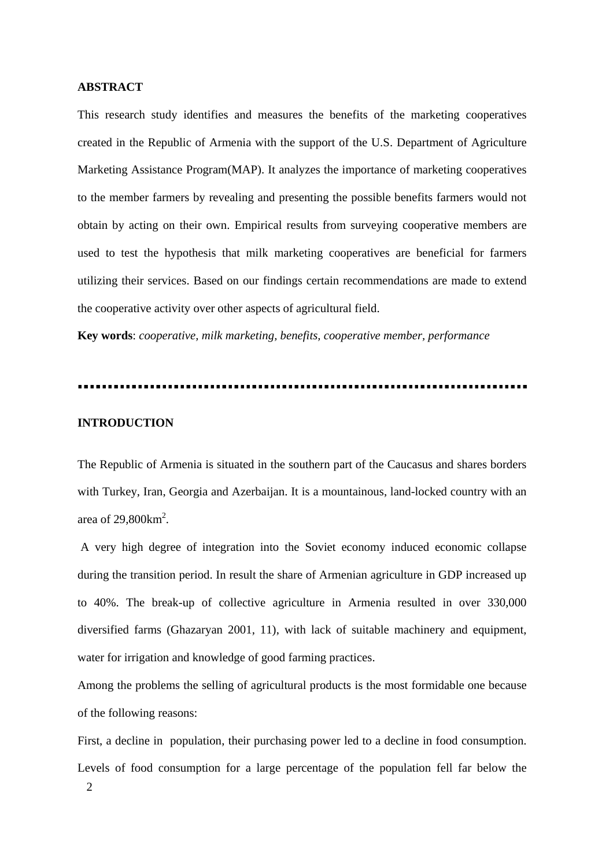### **ABSTRACT**

This research study identifies and measures the benefits of the marketing cooperatives created in the Republic of Armenia with the support of the U.S. Department of Agriculture Marketing Assistance Program(MAP). It analyzes the importance of marketing cooperatives to the member farmers by revealing and presenting the possible benefits farmers would not obtain by acting on their own. Empirical results from surveying cooperative members are used to test the hypothesis that milk marketing cooperatives are beneficial for farmers utilizing their services. Based on our findings certain recommendations are made to extend the cooperative activity over other aspects of agricultural field.

**Key words**: *cooperative, milk marketing, benefits, cooperative member, performance* 

## **INTRODUCTION**

The Republic of Armenia is situated in the southern part of the Caucasus and shares borders with Turkey, Iran, Georgia and Azerbaijan. It is a mountainous, land-locked country with an area of  $29,800 \text{km}^2$ .

 A very high degree of integration into the Soviet economy induced economic collapse during the transition period. In result the share of Armenian agriculture in GDP increased up to 40%. The break-up of collective agriculture in Armenia resulted in over 330,000 diversified farms (Ghazaryan 2001, 11), with lack of suitable machinery and equipment, water for irrigation and knowledge of good farming practices.

Among the problems the selling of agricultural products is the most formidable one because of the following reasons:

First, a decline in population, their purchasing power led to a decline in food consumption. Levels of food consumption for a large percentage of the population fell far below the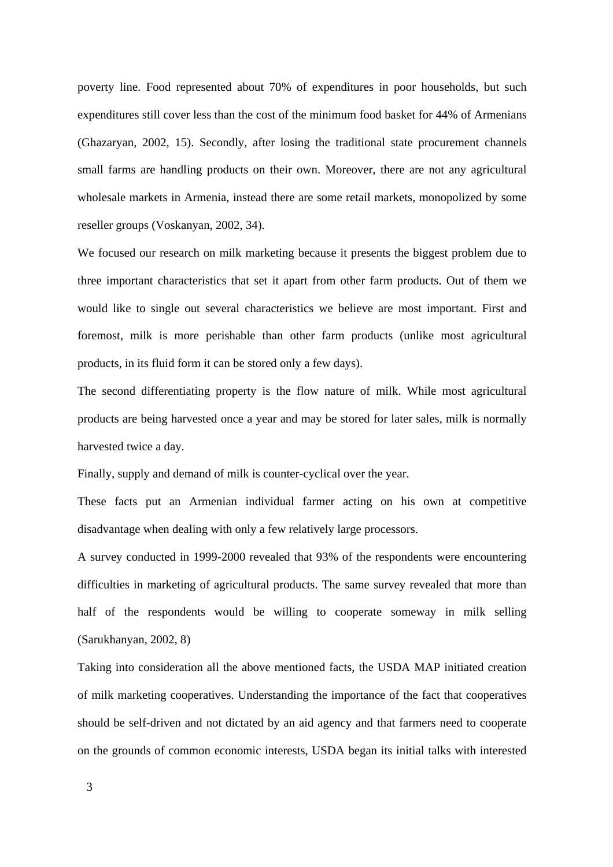poverty line. Food represented about 70% of expenditures in poor households, but such expenditures still cover less than the cost of the minimum food basket for 44% of Armenians (Ghazaryan, 2002, 15). Secondly, after losing the traditional state procurement channels small farms are handling products on their own. Moreover, there are not any agricultural wholesale markets in Armenia, instead there are some retail markets, monopolized by some reseller groups (Voskanyan, 2002, 34).

We focused our research on milk marketing because it presents the biggest problem due to three important characteristics that set it apart from other farm products. Out of them we would like to single out several characteristics we believe are most important. First and foremost, milk is more perishable than other farm products (unlike most agricultural products, in its fluid form it can be stored only a few days).

The second differentiating property is the flow nature of milk. While most agricultural products are being harvested once a year and may be stored for later sales, milk is normally harvested twice a day.

Finally, supply and demand of milk is counter-cyclical over the year.

These facts put an Armenian individual farmer acting on his own at competitive disadvantage when dealing with only a few relatively large processors.

A survey conducted in 1999-2000 revealed that 93% of the respondents were encountering difficulties in marketing of agricultural products. The same survey revealed that more than half of the respondents would be willing to cooperate someway in milk selling (Sarukhanyan, 2002, 8)

Taking into consideration all the above mentioned facts, the USDA MAP initiated creation of milk marketing cooperatives. Understanding the importance of the fact that cooperatives should be self-driven and not dictated by an aid agency and that farmers need to cooperate on the grounds of common economic interests, USDA began its initial talks with interested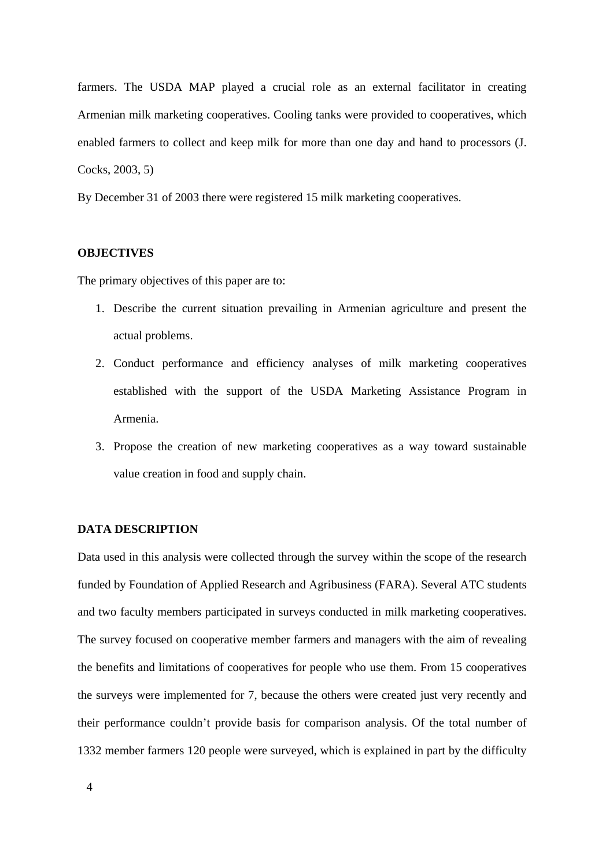farmers. The USDA MAP played a crucial role as an external facilitator in creating Armenian milk marketing cooperatives. Cooling tanks were provided to cooperatives, which enabled farmers to collect and keep milk for more than one day and hand to processors (J. Cocks, 2003, 5)

By December 31 of 2003 there were registered 15 milk marketing cooperatives.

## **OBJECTIVES**

The primary objectives of this paper are to:

- 1. Describe the current situation prevailing in Armenian agriculture and present the actual problems.
- 2. Conduct performance and efficiency analyses of milk marketing cooperatives established with the support of the USDA Marketing Assistance Program in Armenia.
- 3. Propose the creation of new marketing cooperatives as a way toward sustainable value creation in food and supply chain.

#### **DATA DESCRIPTION**

Data used in this analysis were collected through the survey within the scope of the research funded by Foundation of Applied Research and Agribusiness (FARA). Several ATC students and two faculty members participated in surveys conducted in milk marketing cooperatives. The survey focused on cooperative member farmers and managers with the aim of revealing the benefits and limitations of cooperatives for people who use them. From 15 cooperatives the surveys were implemented for 7, because the others were created just very recently and their performance couldn't provide basis for comparison analysis. Of the total number of 1332 member farmers 120 people were surveyed, which is explained in part by the difficulty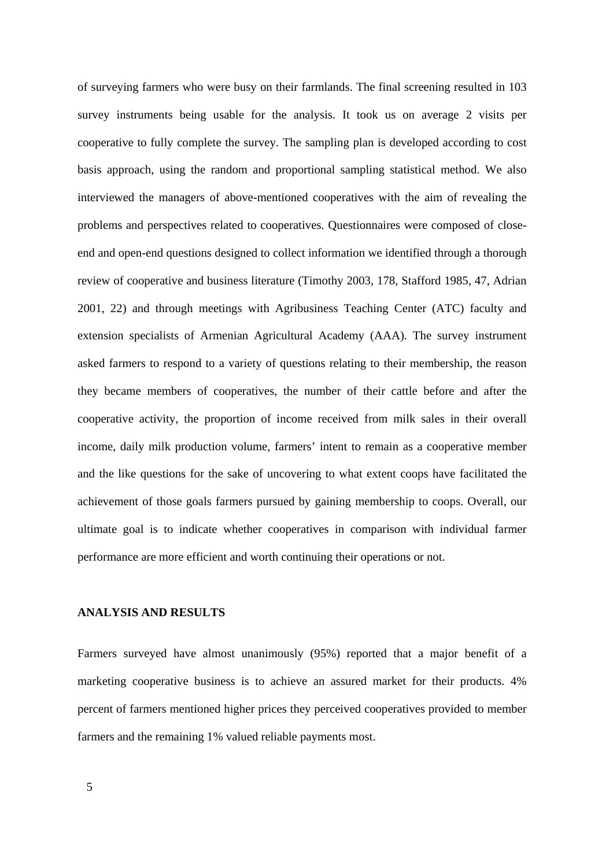of surveying farmers who were busy on their farmlands. The final screening resulted in 103 survey instruments being usable for the analysis. It took us on average 2 visits per cooperative to fully complete the survey. The sampling plan is developed according to cost basis approach, using the random and proportional sampling statistical method. We also interviewed the managers of above-mentioned cooperatives with the aim of revealing the problems and perspectives related to cooperatives. Questionnaires were composed of closeend and open-end questions designed to collect information we identified through a thorough review of cooperative and business literature (Timothy 2003, 178, Stafford 1985, 47, Adrian 2001, 22) and through meetings with Agribusiness Teaching Center (ATC) faculty and extension specialists of Armenian Agricultural Academy (AAA). The survey instrument asked farmers to respond to a variety of questions relating to their membership, the reason they became members of cooperatives, the number of their cattle before and after the cooperative activity, the proportion of income received from milk sales in their overall income, daily milk production volume, farmers' intent to remain as a cooperative member and the like questions for the sake of uncovering to what extent coops have facilitated the achievement of those goals farmers pursued by gaining membership to coops. Overall, our ultimate goal is to indicate whether cooperatives in comparison with individual farmer performance are more efficient and worth continuing their operations or not.

### **ANALYSIS AND RESULTS**

Farmers surveyed have almost unanimously (95%) reported that a major benefit of a marketing cooperative business is to achieve an assured market for their products. 4% percent of farmers mentioned higher prices they perceived cooperatives provided to member farmers and the remaining 1% valued reliable payments most.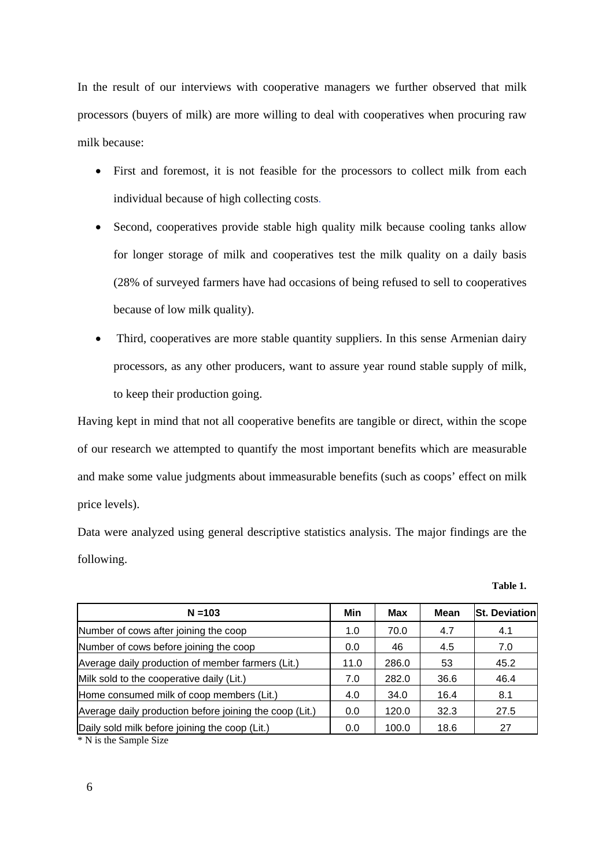In the result of our interviews with cooperative managers we further observed that milk processors (buyers of milk) are more willing to deal with cooperatives when procuring raw milk because:

- First and foremost, it is not feasible for the processors to collect milk from each individual because of high collecting costs.
- Second, cooperatives provide stable high quality milk because cooling tanks allow for longer storage of milk and cooperatives test the milk quality on a daily basis (28% of surveyed farmers have had occasions of being refused to sell to cooperatives because of low milk quality).
- Third, cooperatives are more stable quantity suppliers. In this sense Armenian dairy processors, as any other producers, want to assure year round stable supply of milk, to keep their production going.

Having kept in mind that not all cooperative benefits are tangible or direct, within the scope of our research we attempted to quantify the most important benefits which are measurable and make some value judgments about immeasurable benefits (such as coops' effect on milk price levels).

Data were analyzed using general descriptive statistics analysis. The major findings are the following.

| $N = 103$                                               | Min  | <b>Max</b> | <b>Mean</b> | <b>St. Deviation</b> |
|---------------------------------------------------------|------|------------|-------------|----------------------|
| Number of cows after joining the coop                   | 1.0  | 70.0       | 4.7         | 4.1                  |
| Number of cows before joining the coop                  | 0.0  | 46         | 4.5         | 7.0                  |
| Average daily production of member farmers (Lit.)       | 11.0 | 286.0      | 53          | 45.2                 |
| Milk sold to the cooperative daily (Lit.)               | 7.0  | 282.0      | 36.6        | 46.4                 |
| Home consumed milk of coop members (Lit.)               | 4.0  | 34.0       | 16.4        | 8.1                  |
| Average daily production before joining the coop (Lit.) | 0.0  | 120.0      | 32.3        | 27.5                 |
| Daily sold milk before joining the coop (Lit.)          | 0.0  | 100.0      | 18.6        | 27                   |

\* N is the Sample Size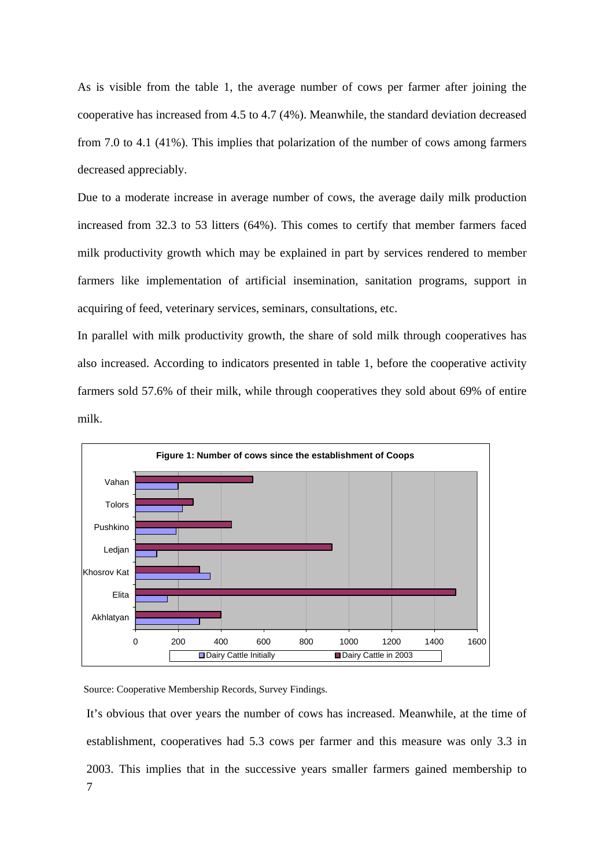As is visible from the table 1, the average number of cows per farmer after joining the cooperative has increased from 4.5 to 4.7 (4%). Meanwhile, the standard deviation decreased from 7.0 to 4.1 (41%). This implies that polarization of the number of cows among farmers decreased appreciably.

Due to a moderate increase in average number of cows, the average daily milk production increased from 32.3 to 53 litters (64%). This comes to certify that member farmers faced milk productivity growth which may be explained in part by services rendered to member farmers like implementation of artificial insemination, sanitation programs, support in acquiring of feed, veterinary services, seminars, consultations, etc.

In parallel with milk productivity growth, the share of sold milk through cooperatives has also increased. According to indicators presented in table 1, before the cooperative activity farmers sold 57.6% of their milk, while through cooperatives they sold about 69% of entire milk.



Source: Cooperative Membership Records, Survey Findings.

7 It's obvious that over years the number of cows has increased. Meanwhile, at the time of establishment, cooperatives had 5.3 cows per farmer and this measure was only 3.3 in 2003. This implies that in the successive years smaller farmers gained membership to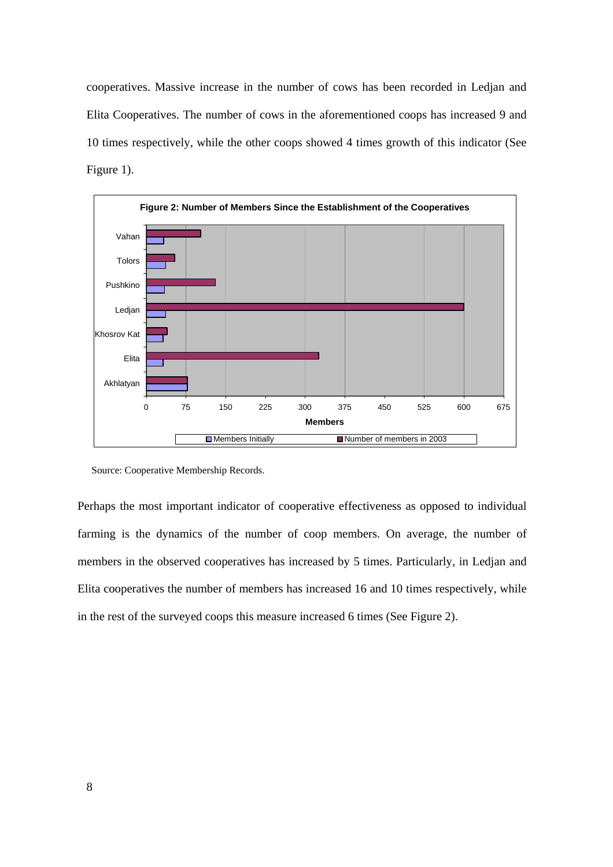cooperatives. Massive increase in the number of cows has been recorded in Ledjan and Elita Cooperatives. The number of cows in the aforementioned coops has increased 9 and 10 times respectively, while the other coops showed 4 times growth of this indicator (See Figure 1).



Source: Cooperative Membership Records.

Perhaps the most important indicator of cooperative effectiveness as opposed to individual farming is the dynamics of the number of coop members. On average, the number of members in the observed cooperatives has increased by 5 times. Particularly, in Ledjan and Elita cooperatives the number of members has increased 16 and 10 times respectively, while in the rest of the surveyed coops this measure increased 6 times (See Figure 2).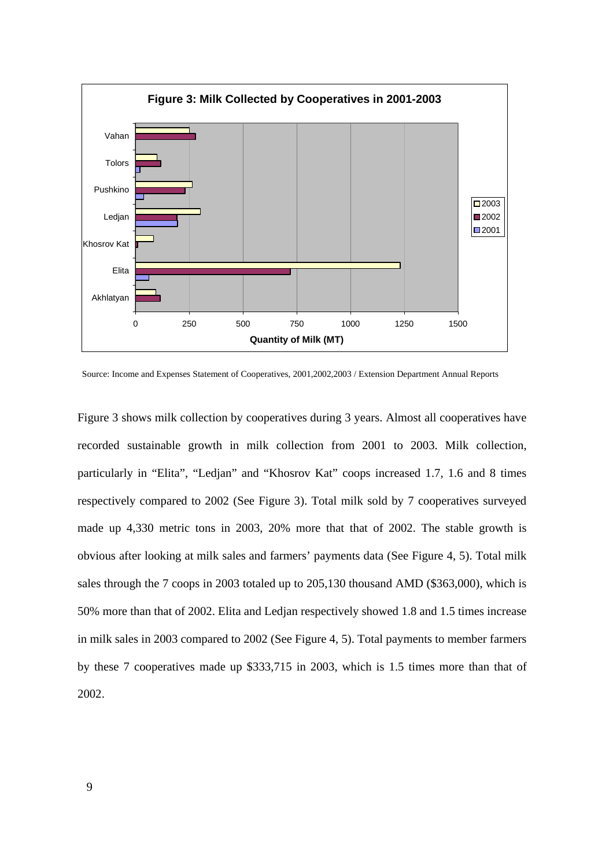

Source: Income and Expenses Statement of Cooperatives, 2001,2002,2003 / Extension Department Annual Reports

Figure 3 shows milk collection by cooperatives during 3 years. Almost all cooperatives have recorded sustainable growth in milk collection from 2001 to 2003. Milk collection, particularly in "Elita", "Ledjan" and "Khosrov Kat" coops increased 1.7, 1.6 and 8 times respectively compared to 2002 (See Figure 3). Total milk sold by 7 cooperatives surveyed made up 4,330 metric tons in 2003, 20% more that that of 2002. The stable growth is obvious after looking at milk sales and farmers' payments data (See Figure 4, 5). Total milk sales through the 7 coops in 2003 totaled up to 205,130 thousand AMD (\$363,000), which is 50% more than that of 2002. Elita and Ledjan respectively showed 1.8 and 1.5 times increase in milk sales in 2003 compared to 2002 (See Figure 4, 5). Total payments to member farmers by these 7 cooperatives made up \$333,715 in 2003, which is 1.5 times more than that of 2002.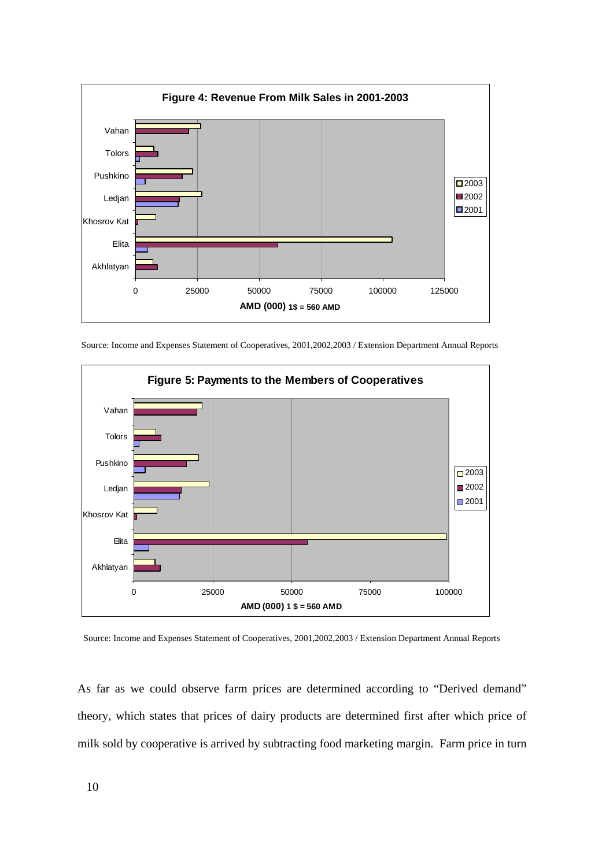

Source: Income and Expenses Statement of Cooperatives, 2001,2002,2003 / Extension Department Annual Reports



Source: Income and Expenses Statement of Cooperatives, 2001,2002,2003 / Extension Department Annual Reports

As far as we could observe farm prices are determined according to "Derived demand" theory, which states that prices of dairy products are determined first after which price of milk sold by cooperative is arrived by subtracting food marketing margin. Farm price in turn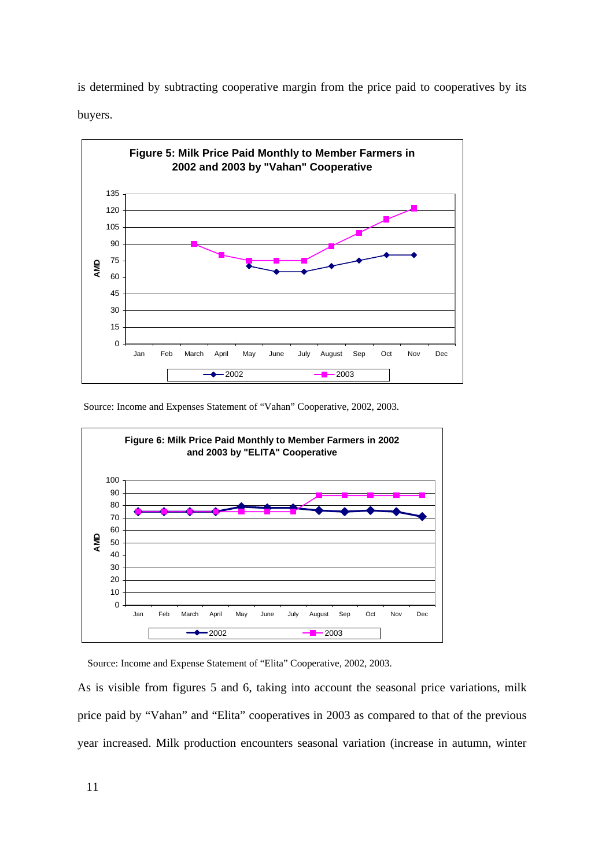is determined by subtracting cooperative margin from the price paid to cooperatives by its buyers.



Source: Income and Expenses Statement of "Vahan" Cooperative, 2002, 2003.



Source: Income and Expense Statement of "Elita" Cooperative, 2002, 2003.

As is visible from figures 5 and 6, taking into account the seasonal price variations, milk price paid by "Vahan" and "Elita" cooperatives in 2003 as compared to that of the previous year increased. Milk production encounters seasonal variation (increase in autumn, winter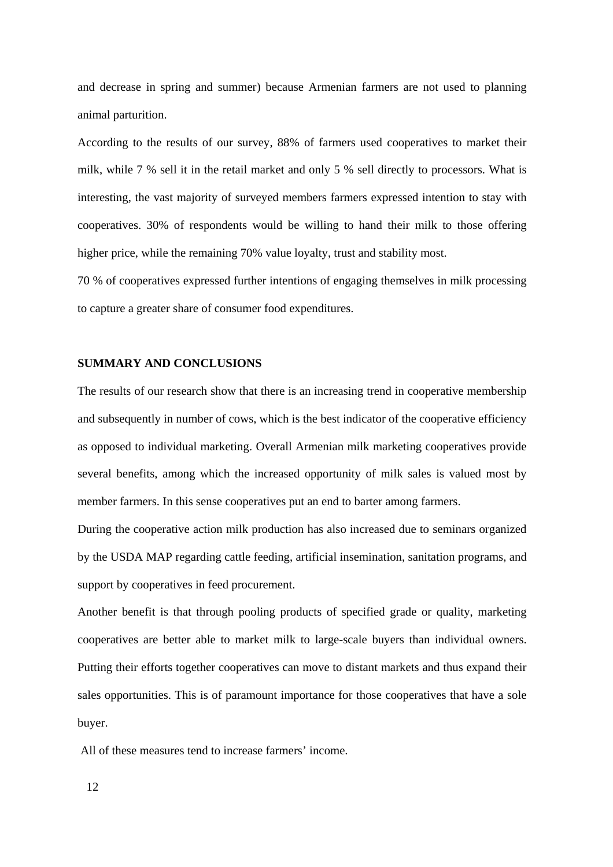and decrease in spring and summer) because Armenian farmers are not used to planning animal parturition.

According to the results of our survey, 88% of farmers used cooperatives to market their milk, while 7 % sell it in the retail market and only 5 % sell directly to processors. What is interesting, the vast majority of surveyed members farmers expressed intention to stay with cooperatives. 30% of respondents would be willing to hand their milk to those offering higher price, while the remaining 70% value loyalty, trust and stability most.

70 % of cooperatives expressed further intentions of engaging themselves in milk processing to capture a greater share of consumer food expenditures.

### **SUMMARY AND CONCLUSIONS**

The results of our research show that there is an increasing trend in cooperative membership and subsequently in number of cows, which is the best indicator of the cooperative efficiency as opposed to individual marketing. Overall Armenian milk marketing cooperatives provide several benefits, among which the increased opportunity of milk sales is valued most by member farmers. In this sense cooperatives put an end to barter among farmers.

During the cooperative action milk production has also increased due to seminars organized by the USDA MAP regarding cattle feeding, artificial insemination, sanitation programs, and support by cooperatives in feed procurement.

Another benefit is that through pooling products of specified grade or quality, marketing cooperatives are better able to market milk to large-scale buyers than individual owners. Putting their efforts together cooperatives can move to distant markets and thus expand their sales opportunities. This is of paramount importance for those cooperatives that have a sole buyer.

All of these measures tend to increase farmers' income.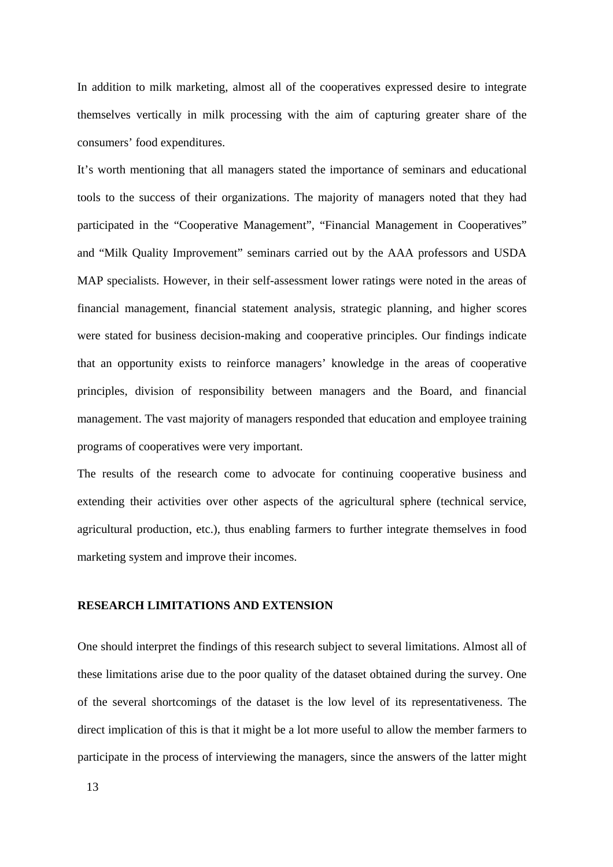In addition to milk marketing, almost all of the cooperatives expressed desire to integrate themselves vertically in milk processing with the aim of capturing greater share of the consumers' food expenditures.

It's worth mentioning that all managers stated the importance of seminars and educational tools to the success of their organizations. The majority of managers noted that they had participated in the "Cooperative Management", "Financial Management in Cooperatives" and "Milk Quality Improvement" seminars carried out by the AAA professors and USDA MAP specialists. However, in their self-assessment lower ratings were noted in the areas of financial management, financial statement analysis, strategic planning, and higher scores were stated for business decision-making and cooperative principles. Our findings indicate that an opportunity exists to reinforce managers' knowledge in the areas of cooperative principles, division of responsibility between managers and the Board, and financial management. The vast majority of managers responded that education and employee training programs of cooperatives were very important.

The results of the research come to advocate for continuing cooperative business and extending their activities over other aspects of the agricultural sphere (technical service, agricultural production, etc.), thus enabling farmers to further integrate themselves in food marketing system and improve their incomes.

## **RESEARCH LIMITATIONS AND EXTENSION**

One should interpret the findings of this research subject to several limitations. Almost all of these limitations arise due to the poor quality of the dataset obtained during the survey. One of the several shortcomings of the dataset is the low level of its representativeness. The direct implication of this is that it might be a lot more useful to allow the member farmers to participate in the process of interviewing the managers, since the answers of the latter might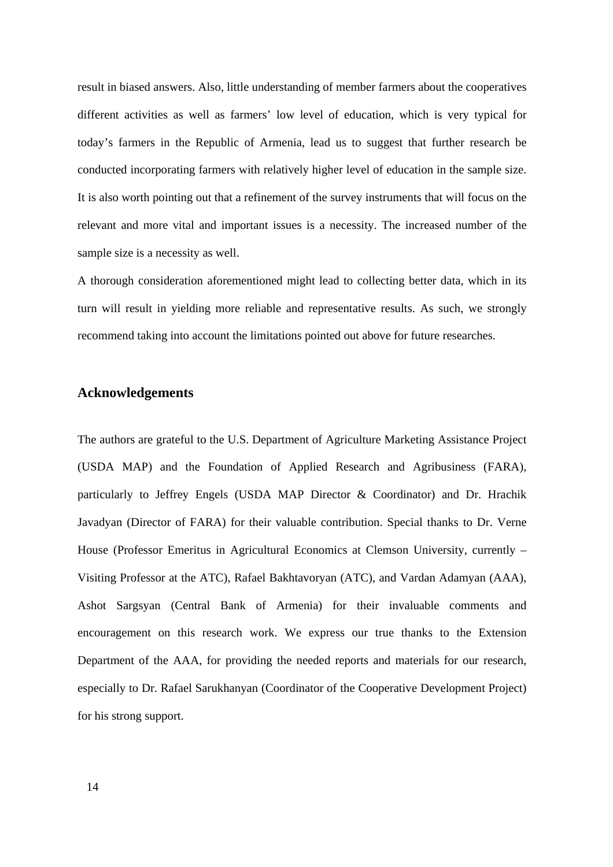result in biased answers. Also, little understanding of member farmers about the cooperatives different activities as well as farmers' low level of education, which is very typical for today's farmers in the Republic of Armenia, lead us to suggest that further research be conducted incorporating farmers with relatively higher level of education in the sample size. It is also worth pointing out that a refinement of the survey instruments that will focus on the relevant and more vital and important issues is a necessity. The increased number of the sample size is a necessity as well.

A thorough consideration aforementioned might lead to collecting better data, which in its turn will result in yielding more reliable and representative results. As such, we strongly recommend taking into account the limitations pointed out above for future researches.

## **Acknowledgements**

The authors are grateful to the U.S. Department of Agriculture Marketing Assistance Project (USDA MAP) and the Foundation of Applied Research and Agribusiness (FARA), particularly to Jeffrey Engels (USDA MAP Director & Coordinator) and Dr. Hrachik Javadyan (Director of FARA) for their valuable contribution. Special thanks to Dr. Verne House (Professor Emeritus in Agricultural Economics at Clemson University, currently – Visiting Professor at the ATC), Rafael Bakhtavoryan (ATC), and Vardan Adamyan (AAA), Ashot Sargsyan (Central Bank of Armenia) for their invaluable comments and encouragement on this research work. We express our true thanks to the Extension Department of the AAA, for providing the needed reports and materials for our research, especially to Dr. Rafael Sarukhanyan (Coordinator of the Cooperative Development Project) for his strong support.